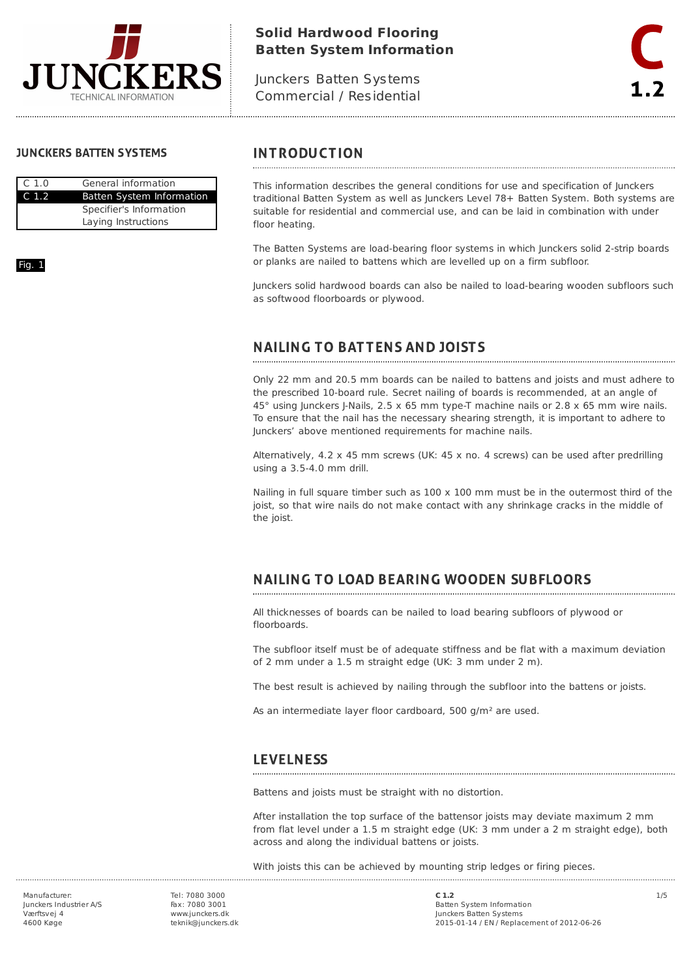

## **Solid Hardwood Flooring Batten System Information**

Junckers Batten Systems Commercial / Residential

#### **JUNCKERS BATTEN SYSTEMS**

| C <sub>1.0</sub>        | General information       |  |
|-------------------------|---------------------------|--|
| $C_{1.2}$               | Batten System Information |  |
| Specifier's Information |                           |  |
|                         | Laying Instructions       |  |

#### Fig. 1

### **INTRODUCTION**

This information describes the general conditions for use and specification of Junckers traditional Batten System as well as Junckers Level 78+ Batten System. Both systems are suitable for residential and commercial use, and can be laid in combination with under floor heating.

The Batten Systems are load-bearing floor systems in which Junckers solid 2-strip boards or planks are nailed to battens which are levelled up on a firm subfloor.

Junckers solid hardwood boards can also be nailed to load-bearing wooden subfloors such as softwood floorboards or plywood.

#### **NAILING TO BATTENS AND JOISTS**

Only 22 mm and 20.5 mm boards can be nailed to battens and joists and must adhere to the prescribed 10-board rule. Secret nailing of boards is recommended, at an angle of 45° using Junckers J-Nails, 2.5 x 65 mm type-T machine nails or 2.8 x 65 mm wire nails. To ensure that the nail has the necessary shearing strength, it is important to adhere to Junckers' above mentioned requirements for machine nails.

Alternatively, 4.2 x 45 mm screws (UK: 45 x no. 4 screws) can be used after predrilling using a 3.5-4.0 mm drill.

Nailing in full square timber such as  $100 \times 100$  mm must be in the outermost third of the joist, so that wire nails do not make contact with any shrinkage cracks in the middle of the joist.

#### **NAILING TO LOAD BEARING WOODEN SUBFLOORS**

All thicknesses of boards can be nailed to load bearing subfloors of plywood or floorboards.

The subfloor itself must be of adequate stiffness and be flat with a maximum deviation of 2 mm under a 1.5 m straight edge (UK: 3 mm under 2 m).

The best result is achieved by nailing through the subfloor into the battens or joists.

As an intermediate layer floor cardboard, 500 g/m² are used.

### **LEVELNESS**

Battens and joists must be straight with no distortion.

After installation the top surface of the battensor joists may deviate maximum 2 mm from flat level under a 1.5 m straight edge (UK: 3 mm under a 2 m straight edge), both across and along the individual battens or joists.

With joists this can be achieved by mounting strip ledges or firing pieces.

Junckers Industrier A/S Værftsvej 4 4600 Køge

Tel: 7080 3000 Fax: 7080 3001 www.junckers.dk teknik@junckers.dk

Manufacturer: Tel: 7080 3000 **C 1.2 1/5 C 1.2** Batten System Information Junckers Batten Systems 2015-01-14 / EN / Replacement of 2012-06-26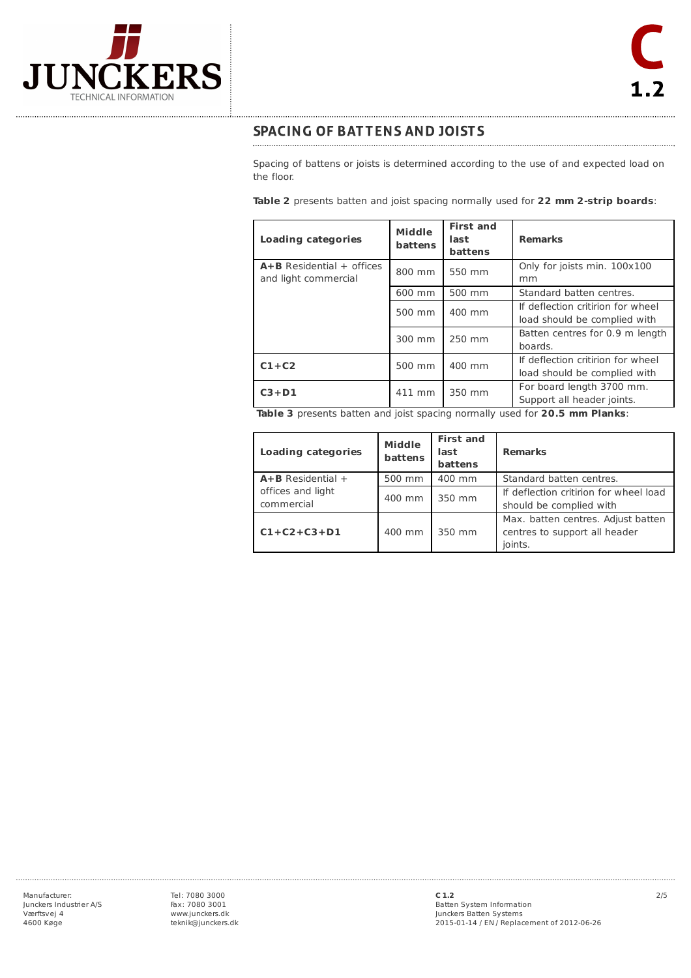

# **SPACING OF BATTENS AND JOISTS**

Spacing of battens or joists is determined according to the use of and expected load on the floor.

**Table 2** presents batten and joist spacing normally used for **22 mm 2-strip boards**:

| Loading categories                                  | <b>Middle</b><br><b>battens</b> | <b>First and</b><br>last<br><b>battens</b> | <b>Remarks</b>                                                    |
|-----------------------------------------------------|---------------------------------|--------------------------------------------|-------------------------------------------------------------------|
| $A+B$ Residential + offices<br>and light commercial | 800 mm                          | 550 mm                                     | Only for joists min. 100x100<br>mm                                |
|                                                     | 600 mm                          | 500 mm                                     | Standard batten centres.                                          |
|                                                     | 500 mm                          | 400 mm                                     | If deflection critirion for wheel<br>load should be complied with |
|                                                     | 300 mm                          | 250 mm                                     | Batten centres for 0.9 m length<br>boards.                        |
| $C1+C2$                                             | 500 mm                          | 400 mm                                     | If deflection critirion for wheel<br>load should be complied with |
| $C3 + D1$                                           | 411 mm                          | 350 mm                                     | For board length 3700 mm.<br>Support all header joints.           |

**Table 3** presents batten and joist spacing normally used for **20.5 mm Planks**:

| Loading categories              | <b>Middle</b><br><b>battens</b> | <b>First and</b><br>last<br>battens | <b>Remarks</b>                                                                 |
|---------------------------------|---------------------------------|-------------------------------------|--------------------------------------------------------------------------------|
| $A + B$ Residential +           | 500 mm                          | 400 mm                              | Standard batten centres.                                                       |
| offices and light<br>commercial | 400 mm                          | 350 mm                              | If deflection critirion for wheel load<br>should be complied with              |
| $C1 + C2 + C3 + D1$             | 400 mm                          | 350 mm                              | Max. batten centres. Adjust batten<br>centres to support all header<br>joints. |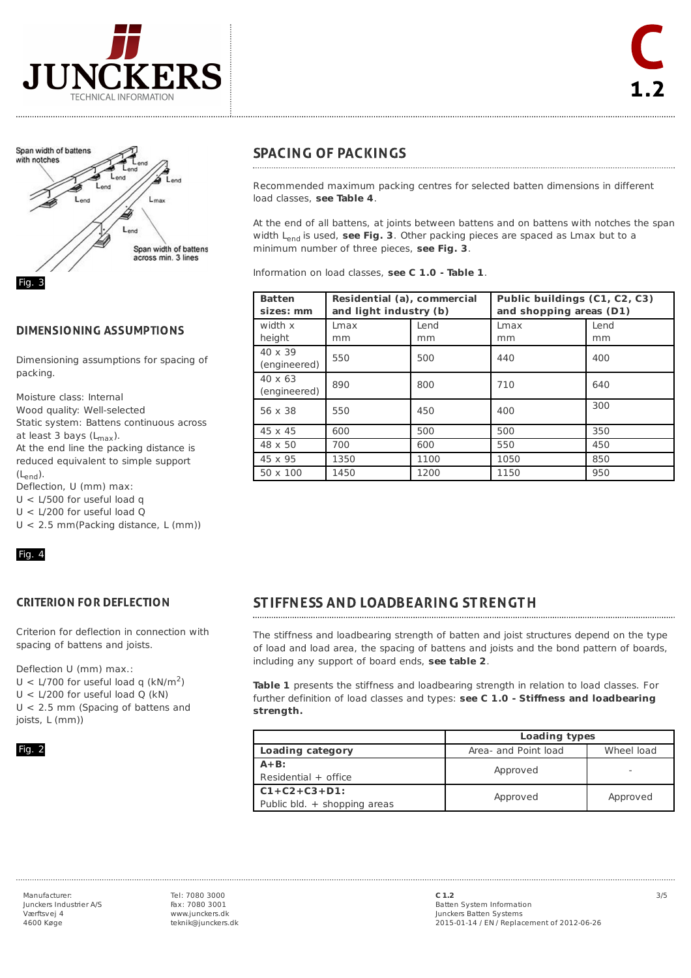



### **DIMENSIONING ASSUMPTIONS**

Dimensioning assumptions for spacing of packing.

Moisture class: Internal Wood quality: Well-selected Static system: Battens continuous across at least 3 bays (L<sub>max</sub>). At the end line the packing distance is reduced equivalent to simple support (L<sub>end</sub>). Deflection, U (mm) max:  $U <$  L/500 for useful load q  $U <$  L/200 for useful load Q U < 2.5 mm(Packing distance, L (mm))



### **CRITERION FOR DEFLECTION**

Criterion for deflection in connection with spacing of battens and joists.

Deflection U (mm) max.:  $U < L/700$  for useful load q (kN/m<sup>2</sup>)  $U <$  L/200 for useful load O (kN) U < 2.5 mm (Spacing of battens and joists, L (mm))



## **SPACING OF PACKINGS**

Recommended maximum packing centres for selected batten dimensions in different load classes, **see Table 4**.

At the end of all battens, at joints between battens and on battens with notches the span width L<sub>end</sub> is used, see Fig. 3. Other packing pieces are spaced as Lmax but to a minimum number of three pieces, **see Fig. 3**.

Information on load classes, **see C 1.0 - Table 1**.

| <b>Batten</b><br>sizes: mm     | Residential (a), commercial<br>and light industry (b) |      | Public buildings (C1, C2, C3)<br>and shopping areas (D1) |      |
|--------------------------------|-------------------------------------------------------|------|----------------------------------------------------------|------|
| width x                        | Lmax                                                  | Lend | Lmax                                                     | Lend |
| height                         | mm                                                    | mm   | mm                                                       | mm   |
| $40 \times 39$<br>(engineered) | 550                                                   | 500  | 440                                                      | 400  |
| $40 \times 63$<br>(engineered) | 890                                                   | 800  | 710                                                      | 640  |
| $56 \times 38$                 | 550                                                   | 450  | 400                                                      | 300  |
| $45 \times 45$                 | 600                                                   | 500  | 500                                                      | 350  |
| $48 \times 50$                 | 700                                                   | 600  | 550                                                      | 450  |
| $45 \times 95$                 | 1350                                                  | 1100 | 1050                                                     | 850  |
| $50 \times 100$                | 1450                                                  | 1200 | 1150                                                     | 950  |

#### STIFFNESS AND LOADBEARING STRENGTH

The stiffness and loadbearing strength of batten and joist structures depend on the type of load and load area, the spacing of battens and joists and the bond pattern of boards, including any support of board ends, **see table 2**.

**Table 1** presents the stiffness and loadbearing strength in relation to load classes. For further definition of load classes and types: **see C 1.0 - Stiffness and loadbearing strength.**

|                              | <b>Loading types</b>               |   |  |
|------------------------------|------------------------------------|---|--|
| Loading category             | Area- and Point load<br>Wheel load |   |  |
| $A + B$ :                    | Approved                           | - |  |
| Residential $+$ office       |                                    |   |  |
| $C1 + C2 + C3 + D1$ :        | Approved<br>Approved               |   |  |
| Public bld. + shopping areas |                                    |   |  |

Junckers Industrier A/S Værftsvej 4 4600 Køge

Tel: 7080 3000 Fax: 7080 3001 www.junckers.dk teknik@junckers.dk

Manufacturer: 3/5 **C 1.2** Batten System Information Junckers Batten Systems 2015-01-14 / EN / Replacement of 2012-06-26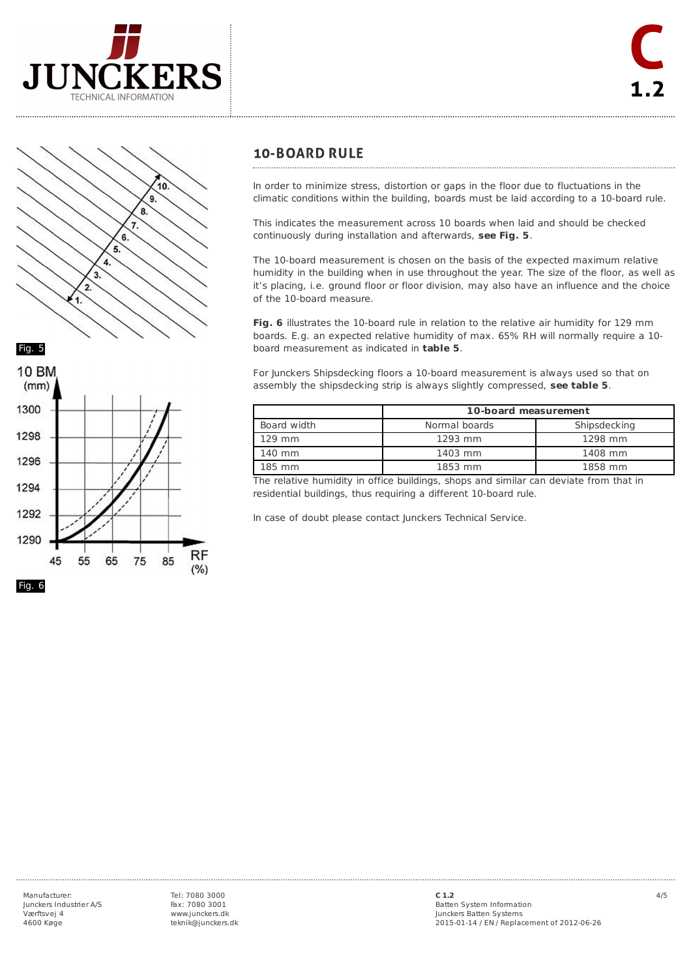





## **10-BOARD RULE**

In order to minimize stress, distortion or gaps in the floor due to fluctuations in the climatic conditions within the building, boards must be laid according to a 10-board rule.

This indicates the measurement across 10 boards when laid and should be checked continuously during installation and afterwards, **see Fig. 5**.

The 10-board measurement is chosen on the basis of the expected maximum relative humidity in the building when in use throughout the year. The size of the floor, as well as it's placing, i.e. ground floor or floor division, may also have an influence and the choice of the 10-board measure.

**Fig. 6** illustrates the 10-board rule in relation to the relative air humidity for 129 mm boards. E.g. an expected relative humidity of max. 65% RH will normally require a 10 board measurement as indicated in **table 5**.

For Junckers Shipsdecking floors a 10-board measurement is always used so that on assembly the shipsdecking strip is always slightly compressed, **see table 5**.

|             | 10-board measurement |              |  |
|-------------|----------------------|--------------|--|
| Board width | Normal boards        | Shipsdecking |  |
| $129$ mm    | 1293 mm              | 1298 mm      |  |
| 140 mm      | 1403 mm              | 1408 mm      |  |
| 185 mm      | 1853 mm              | 1858 mm      |  |

The relative humidity in office buildings, shops and similar can deviate from that in residential buildings, thus requiring a different 10-board rule.

In case of doubt please contact Junckers Technical Service.

Tel: 7080 3000 Fax: 7080 3001 www.junckers.dk teknik@junckers.dk